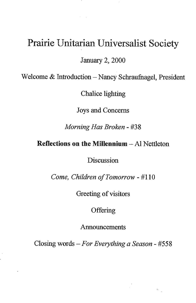## Prairie Unitarian Universalist Society

January 2, 2000

Welcome  $&$  Introduction - Nancy Schraufnagel, President

Chalice lighting

Joys and Concerns

*Morning Has Broken -* #38

**Reflections on the Millennium -** Al Nettleton

**Discussion** 

*Come, Children of Tomorrow -* #110

Greeting of visitors

**Offering** 

Announcements

Closing words - *For Everything a Season -* #558

 $\hat{M}_{\rm max}$